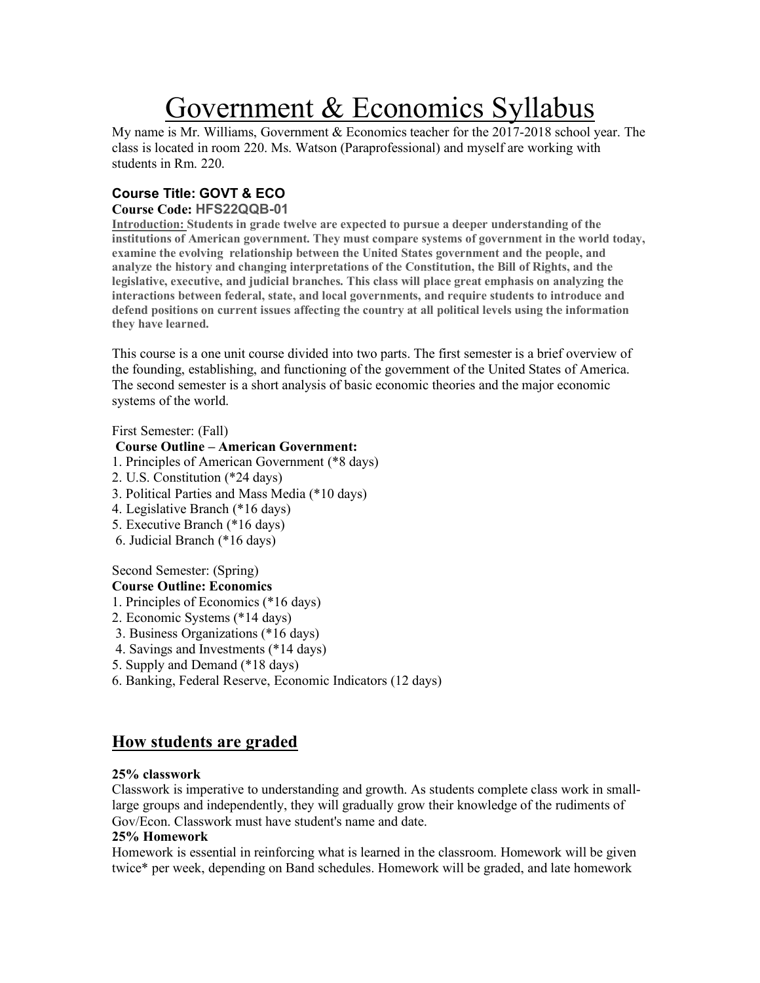# Government & Economics Syllabus

My name is Mr. Williams, Government & Economics teacher for the 2017-2018 school year. The class is located in room 220. Ms. Watson (Paraprofessional) and myself are working with students in Rm. 220.

## **Course Title: GOVT & ECO**

### **Course Code: HFS22QQB-01**

**Introduction: Students in grade twelve are expected to pursue a deeper understanding of the institutions of American government. They must compare systems of government in the world today, examine the evolving relationship between the United States government and the people, and analyze the history and changing interpretations of the Constitution, the Bill of Rights, and the legislative, executive, and judicial branches. This class will place great emphasis on analyzing the interactions between federal, state, and local governments, and require students to introduce and defend positions on current issues affecting the country at all political levels using the information they have learned.**

This course is a one unit course divided into two parts. The first semester is a brief overview of the founding, establishing, and functioning of the government of the United States of America. The second semester is a short analysis of basic economic theories and the major economic systems of the world.

First Semester: (Fall)

## **Course Outline – American Government:**

- 1. Principles of American Government (\*8 days)
- 2. U.S. Constitution (\*24 days)
- 3. Political Parties and Mass Media (\*10 days)
- 4. Legislative Branch (\*16 days)
- 5. Executive Branch (\*16 days)
- 6. Judicial Branch (\*16 days)

## Second Semester: (Spring)

## **Course Outline: Economics**

- 1. Principles of Economics (\*16 days)
- 2. Economic Systems (\*14 days)
- 3. Business Organizations (\*16 days)
- 4. Savings and Investments (\*14 days)
- 5. Supply and Demand (\*18 days)
- 6. Banking, Federal Reserve, Economic Indicators (12 days)

# **How students are graded**

## **25% classwork**

Classwork is imperative to understanding and growth. As students complete class work in smalllarge groups and independently, they will gradually grow their knowledge of the rudiments of Gov/Econ. Classwork must have student's name and date.

## **25% Homework**

Homework is essential in reinforcing what is learned in the classroom. Homework will be given twice\* per week, depending on Band schedules. Homework will be graded, and late homework